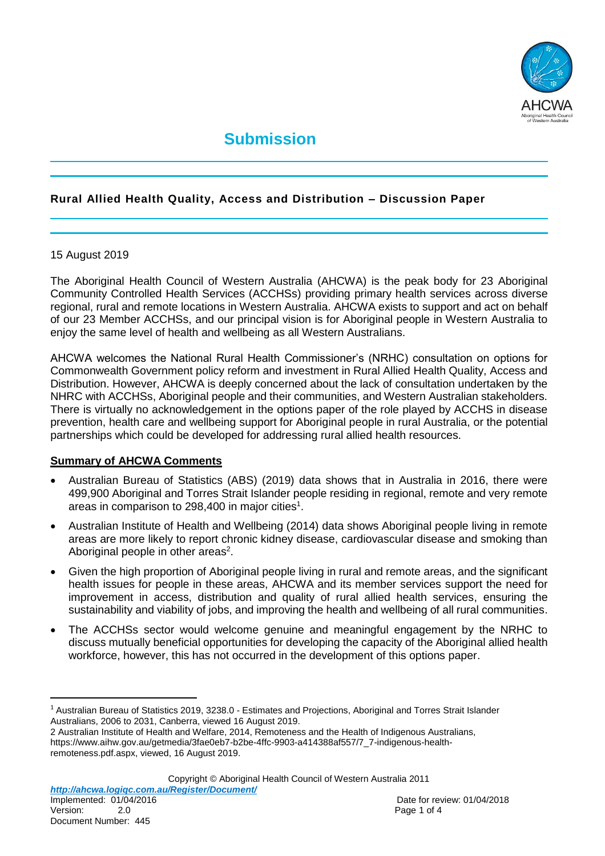

# **Submission**

# **Rural Allied Health Quality, Access and Distribution – Discussion Paper**

#### 15 August 2019

The Aboriginal Health Council of Western Australia (AHCWA) is the peak body for 23 Aboriginal Community Controlled Health Services (ACCHSs) providing primary health services across diverse regional, rural and remote locations in Western Australia. AHCWA exists to support and act on behalf of our 23 Member ACCHSs, and our principal vision is for Aboriginal people in Western Australia to enjoy the same level of health and wellbeing as all Western Australians.

AHCWA welcomes the National Rural Health Commissioner's (NRHC) consultation on options for Commonwealth Government policy reform and investment in Rural Allied Health Quality, Access and Distribution. However, AHCWA is deeply concerned about the lack of consultation undertaken by the NHRC with ACCHSs, Aboriginal people and their communities, and Western Australian stakeholders. There is virtually no acknowledgement in the options paper of the role played by ACCHS in disease prevention, health care and wellbeing support for Aboriginal people in rural Australia, or the potential partnerships which could be developed for addressing rural allied health resources.

#### **Summary of AHCWA Comments**

Document Number: 445

l

- Australian Bureau of Statistics (ABS) (2019) data shows that in Australia in 2016, there were 499,900 Aboriginal and Torres Strait Islander people residing in regional, remote and very remote areas in comparison to 298,400 in major cities<sup>1</sup>.
- Australian Institute of Health and Wellbeing (2014) data shows Aboriginal people living in remote areas are more likely to report chronic kidney disease, cardiovascular disease and smoking than Aboriginal people in other areas<sup>2</sup>.
- Given the high proportion of Aboriginal people living in rural and remote areas, and the significant health issues for people in these areas, AHCWA and its member services support the need for improvement in access, distribution and quality of rural allied health services, ensuring the sustainability and viability of jobs, and improving the health and wellbeing of all rural communities.
- The ACCHSs sector would welcome genuine and meaningful engagement by the NRHC to discuss mutually beneficial opportunities for developing the capacity of the Aboriginal allied health workforce, however, this has not occurred in the development of this options paper.

<sup>1</sup> Australian Bureau of Statistics 2019, 3238.0 - Estimates and Projections, Aboriginal and Torres Strait Islander Australians, 2006 to 2031, Canberra, viewed 16 August 2019.

<sup>2</sup> Australian Institute of Health and Welfare, 2014, Remoteness and the Health of Indigenous Australians, [https://www.aihw.gov.au/getmedia/3fae0eb7-b2be-4ffc-9903-a414388af557/7\\_7-indigenous-health](https://www.aihw.gov.au/getmedia/3fae0eb7-b2be-4ffc-9903-a414388af557/7_7-indigenous-health-remoteness.pdf.aspx)[remoteness.pdf.aspx,](https://www.aihw.gov.au/getmedia/3fae0eb7-b2be-4ffc-9903-a414388af557/7_7-indigenous-health-remoteness.pdf.aspx) viewed, 16 August 2019.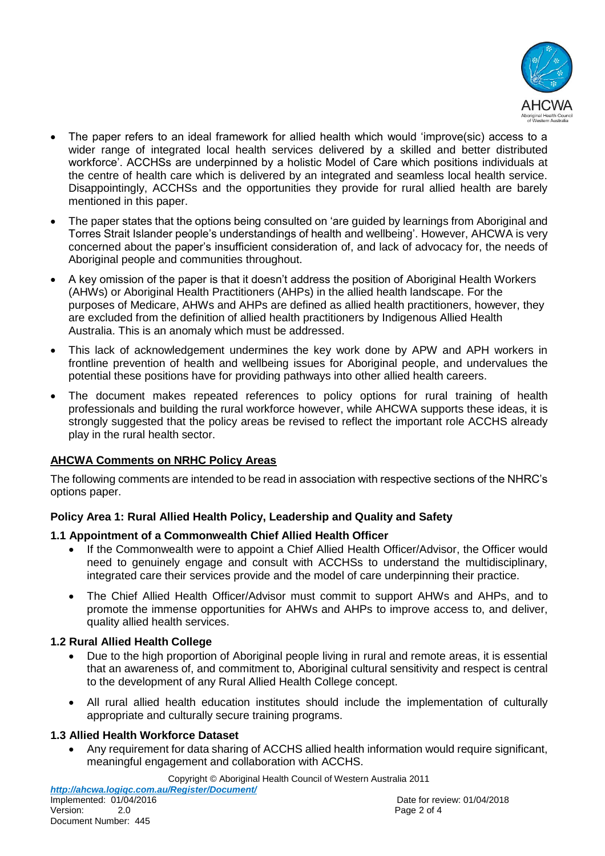

- The paper refers to an ideal framework for allied health which would 'improve(sic) access to a wider range of integrated local health services delivered by a skilled and better distributed workforce'. ACCHSs are underpinned by a holistic Model of Care which positions individuals at the centre of health care which is delivered by an integrated and seamless local health service. Disappointingly, ACCHSs and the opportunities they provide for rural allied health are barely mentioned in this paper.
- The paper states that the options being consulted on 'are guided by learnings from Aboriginal and Torres Strait Islander people's understandings of health and wellbeing'. However, AHCWA is very concerned about the paper's insufficient consideration of, and lack of advocacy for, the needs of Aboriginal people and communities throughout.
- A key omission of the paper is that it doesn't address the position of Aboriginal Health Workers (AHWs) or Aboriginal Health Practitioners (AHPs) in the allied health landscape. For the purposes of Medicare, AHWs and AHPs are defined as allied health practitioners, however, they are excluded from the definition of allied health practitioners by Indigenous Allied Health Australia. This is an anomaly which must be addressed.
- This lack of acknowledgement undermines the key work done by APW and APH workers in frontline prevention of health and wellbeing issues for Aboriginal people, and undervalues the potential these positions have for providing pathways into other allied health careers.
- The document makes repeated references to policy options for rural training of health professionals and building the rural workforce however, while AHCWA supports these ideas, it is strongly suggested that the policy areas be revised to reflect the important role ACCHS already play in the rural health sector.

# **AHCWA Comments on NRHC Policy Areas**

The following comments are intended to be read in association with respective sections of the NHRC's options paper.

# **Policy Area 1: Rural Allied Health Policy, Leadership and Quality and Safety**

#### **1.1 Appointment of a Commonwealth Chief Allied Health Officer**

- If the Commonwealth were to appoint a Chief Allied Health Officer/Advisor, the Officer would need to genuinely engage and consult with ACCHSs to understand the multidisciplinary, integrated care their services provide and the model of care underpinning their practice.
- The Chief Allied Health Officer/Advisor must commit to support AHWs and AHPs, and to promote the immense opportunities for AHWs and AHPs to improve access to, and deliver, quality allied health services.

#### **1.2 Rural Allied Health College**

- Due to the high proportion of Aboriginal people living in rural and remote areas, it is essential that an awareness of, and commitment to, Aboriginal cultural sensitivity and respect is central to the development of any Rural Allied Health College concept.
- All rural allied health education institutes should include the implementation of culturally appropriate and culturally secure training programs.

#### **1.3 Allied Health Workforce Dataset**

 Any requirement for data sharing of ACCHS allied health information would require significant, meaningful engagement and collaboration with ACCHS.

Copyright © Aboriginal Health Council of Western Australia 2011

*http://ahcwa.logiqc.com.au/Register/Document/*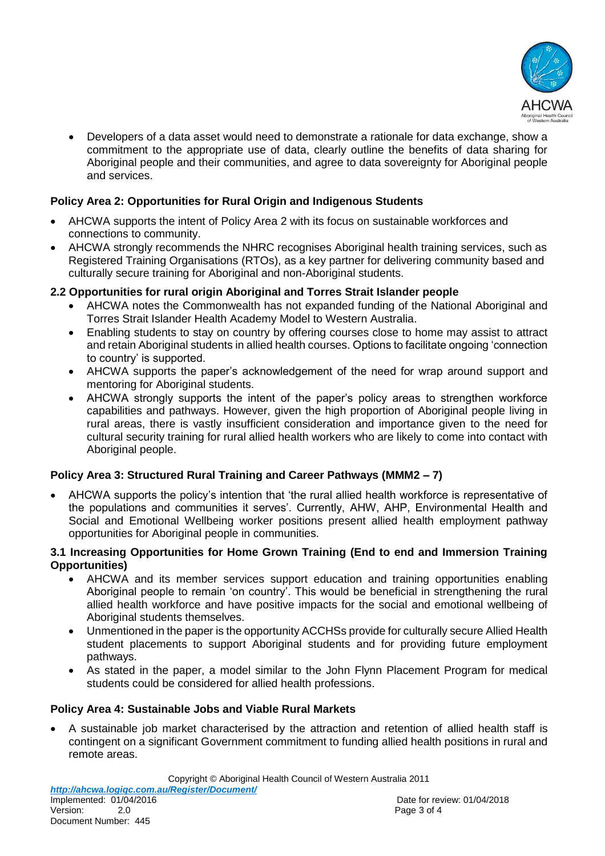

 Developers of a data asset would need to demonstrate a rationale for data exchange, show a commitment to the appropriate use of data, clearly outline the benefits of data sharing for Aboriginal people and their communities, and agree to data sovereignty for Aboriginal people and services.

# **Policy Area 2: Opportunities for Rural Origin and Indigenous Students**

- AHCWA supports the intent of Policy Area 2 with its focus on sustainable workforces and connections to community.
- AHCWA strongly recommends the NHRC recognises Aboriginal health training services, such as Registered Training Organisations (RTOs), as a key partner for delivering community based and culturally secure training for Aboriginal and non-Aboriginal students.
- **2.2 Opportunities for rural origin Aboriginal and Torres Strait Islander people**
	- AHCWA notes the Commonwealth has not expanded funding of the National Aboriginal and Torres Strait Islander Health Academy Model to Western Australia.
	- Enabling students to stay on country by offering courses close to home may assist to attract and retain Aboriginal students in allied health courses. Options to facilitate ongoing 'connection to country' is supported.
	- AHCWA supports the paper's acknowledgement of the need for wrap around support and mentoring for Aboriginal students.
	- AHCWA strongly supports the intent of the paper's policy areas to strengthen workforce capabilities and pathways. However, given the high proportion of Aboriginal people living in rural areas, there is vastly insufficient consideration and importance given to the need for cultural security training for rural allied health workers who are likely to come into contact with Aboriginal people.

# **Policy Area 3: Structured Rural Training and Career Pathways (MMM2 – 7)**

 AHCWA supports the policy's intention that 'the rural allied health workforce is representative of the populations and communities it serves'. Currently, AHW, AHP, Environmental Health and Social and Emotional Wellbeing worker positions present allied health employment pathway opportunities for Aboriginal people in communities.

#### **3.1 Increasing Opportunities for Home Grown Training (End to end and Immersion Training Opportunities)**

- AHCWA and its member services support education and training opportunities enabling Aboriginal people to remain 'on country'. This would be beneficial in strengthening the rural allied health workforce and have positive impacts for the social and emotional wellbeing of Aboriginal students themselves.
- Unmentioned in the paper is the opportunity ACCHSs provide for culturally secure Allied Health student placements to support Aboriginal students and for providing future employment pathways.
- As stated in the paper, a model similar to the John Flynn Placement Program for medical students could be considered for allied health professions.

#### **Policy Area 4: Sustainable Jobs and Viable Rural Markets**

 A sustainable job market characterised by the attraction and retention of allied health staff is contingent on a significant Government commitment to funding allied health positions in rural and remote areas.